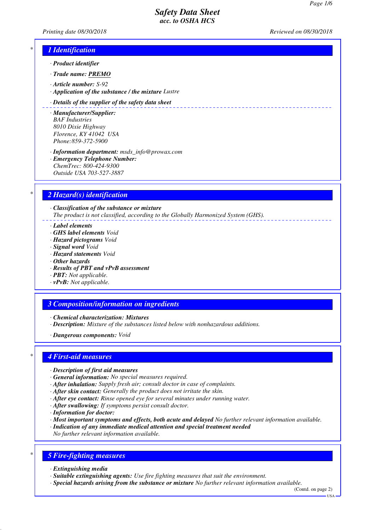*Printing date 08/30/2018 Reviewed on 08/30/2018*

# *\* 1 Identification*

- *· Product identifier*
- *· Trade name: PREMO*
- *· Article number: S-92*
- *· Application of the substance / the mixture Lustre*

### *· Details of the supplier of the safety data sheet*

- *· Manufacturer/Supplier: BAF Industries 8010 Dixie Highway Florence, KY 41042 USA Phone:859-372-5900*
- *· Information department: msds\_info@prowax.com · Emergency Telephone Number: ChemTrec: 800-424-9300 Outside USA 703-527-3887*

# *\* 2 Hazard(s) identification*

*· Classification of the substance or mixture The product is not classified, according to the Globally Harmonized System (GHS).*

- *· Label elements*
- *· GHS label elements Void*
- *· Hazard pictograms Void*
- *· Signal word Void*
- *· Hazard statements Void*
- *· Other hazards*
- *· Results of PBT and vPvB assessment*
- *· PBT: Not applicable.*
- *· vPvB: Not applicable.*

### *3 Composition/information on ingredients*

- *· Chemical characterization: Mixtures*
- *· Description: Mixture of the substances listed below with nonhazardous additions.*
- *· Dangerous components: Void*

### *\* 4 First-aid measures*

- *· Description of first aid measures*
- *· General information: No special measures required.*
- *· After inhalation: Supply fresh air; consult doctor in case of complaints.*
- *· After skin contact: Generally the product does not irritate the skin.*
- *· After eye contact: Rinse opened eye for several minutes under running water.*
- *· After swallowing: If symptoms persist consult doctor.*
- *· Information for doctor:*
- *· Most important symptoms and effects, both acute and delayed No further relevant information available.*
- *· Indication of any immediate medical attention and special treatment needed*
- *No further relevant information available.*

# *\* 5 Fire-fighting measures*

- *· Extinguishing media*
- *· Suitable extinguishing agents: Use fire fighting measures that suit the environment.*
- *· Special hazards arising from the substance or mixture No further relevant information available.*

(Contd. on page 2)  $-1$ ISA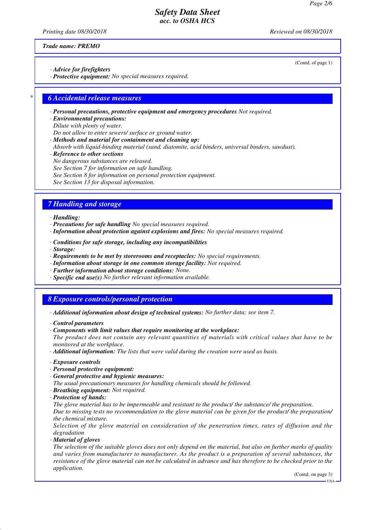*Printing date 08/30/2018 Reviewed on 08/30/2018*

(Contd. of page 1)

*Trade name: PREMO*

*· Advice for firefighters*

*· Protective equipment: No special measures required.*

### *\* 6 Accidental release measures*

*· Personal precautions, protective equipment and emergency procedures Not required.*

*· Environmental precautions:*

*Dilute with plenty of water.*

*Do not allow to enter sewers/ surface or ground water. · Methods and material for containment and cleaning up:*

*Absorb with liquid-binding material (sand, diatomite, acid binders, universal binders, sawdust).*

*· Reference to other sections*

*No dangerous substances are released.*

- *See Section 7 for information on safe handling.*
- *See Section 8 for information on personal protection equipment.*

*See Section 13 for disposal information.*

# *7 Handling and storage*

### *· Handling:*

- *· Precautions for safe handling No special measures required.*
- *· Information about protection against explosions and fires: No special measures required.*
- *· Conditions for safe storage, including any incompatibilities*
- *· Storage:*
- *· Requirements to be met by storerooms and receptacles: No special requirements.*
- *· Information about storage in one common storage facility: Not required.*
- *· Further information about storage conditions: None.*
- *· Specific end use(s) No further relevant information available.*

# *8 Exposure controls/personal protection*

- *· Additional information about design of technical systems: No further data; see item 7.*
- *· Control parameters*
- *· Components with limit values that require monitoring at the workplace:*
- *The product does not contain any relevant quantities of materials with critical values that have to be monitored at the workplace.*

*· Additional information: The lists that were valid during the creation were used as basis.*

- *· Exposure controls*
- *· Personal protective equipment:*
- *· General protective and hygienic measures:*
- *The usual precautionary measures for handling chemicals should be followed.*
- *· Breathing equipment: Not required.*
- *· Protection of hands:*

*The glove material has to be impermeable and resistant to the product/ the substance/ the preparation. Due to missing tests no recommendation to the glove material can be given for the product/ the preparation/ the chemical mixture.*

*Selection of the glove material on consideration of the penetration times, rates of diffusion and the degradation*

*· Material of gloves*

*The selection of the suitable gloves does not only depend on the material, but also on further marks of quality and varies from manufacturer to manufacturer. As the product is a preparation of several substances, the resistance of the glove material can not be calculated in advance and has therefore to be checked prior to the application.*

(Contd. on page 3)

 $-11S_A$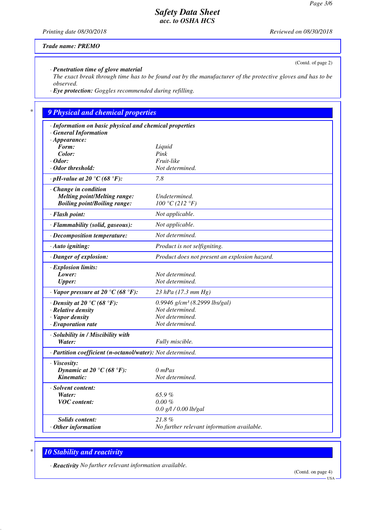(Contd. of page 2)

# *Safety Data Sheet acc. to OSHA HCS*

*Printing date 08/30/2018 Reviewed on 08/30/2018*

### *Trade name: PREMO*

*· Penetration time of glove material*

*The exact break through time has to be found out by the manufacturer of the protective gloves and has to be observed.*

*· Eye protection: Goggles recommended during refilling.*

# *\* 9 Physical and chemical properties*

| · Information on basic physical and chemical properties<br><b>General Information</b><br>$\cdot$ Appearance: |                                               |
|--------------------------------------------------------------------------------------------------------------|-----------------------------------------------|
| Form:                                                                                                        | Liquid                                        |
| Color:                                                                                                       | Pink                                          |
| $\cdot$ Odor:                                                                                                | Fruit-like                                    |
| Odor threshold:                                                                                              | Not determined.                               |
| $\cdot$ pH-value at 20 °C (68 °F):                                                                           | 7.8                                           |
| Change in condition<br><b>Melting point/Melting range:</b><br><b>Boiling point/Boiling range:</b>            | Undetermined.<br>100 °C (212 °F)              |
| · Flash point:                                                                                               | Not applicable.                               |
| · Flammability (solid, gaseous):                                                                             | Not applicable.                               |
| · Decomposition temperature:                                                                                 | Not determined.                               |
| · Auto igniting:                                                                                             | Product is not selfigniting.                  |
| · Danger of explosion:                                                                                       | Product does not present an explosion hazard. |
| · Explosion limits:                                                                                          |                                               |
| Lower:                                                                                                       | Not determined.                               |
| <b>Upper:</b>                                                                                                | Not determined.                               |
| $\cdot$ Vapor pressure at 20 °C (68 °F):                                                                     | 23 hPa (17.3 mm Hg)                           |
| $\cdot$ Density at 20 $\degree$ C (68 $\degree$ F):                                                          | 0.9946 $g/cm^3$ (8.2999 lbs/gal)              |
| · Relative density                                                                                           | Not determined.                               |
| · Vapor density                                                                                              | Not determined.                               |
| $\cdot$ Evaporation rate                                                                                     | Not determined.                               |
| · Solubility in / Miscibility with                                                                           |                                               |
| Water:                                                                                                       | Fully miscible.                               |
| · Partition coefficient (n-octanol/water): Not determined.                                                   |                                               |
| · Viscosity:                                                                                                 |                                               |
| Dynamic at 20 °C (68 °F):                                                                                    | $0$ mPas                                      |
| Kinematic:                                                                                                   | Not determined.                               |
| · Solvent content:                                                                                           |                                               |
| Water:                                                                                                       | 65.9%                                         |
| <b>VOC</b> content:                                                                                          | $0.00 \%$                                     |
|                                                                                                              | $0.0$ g/l / 0.00 lb/gal                       |
| <b>Solids content:</b>                                                                                       | 21.8%                                         |
| $·$ Other information                                                                                        | No further relevant information available.    |
|                                                                                                              |                                               |

# *\* 10 Stability and reactivity*

*· Reactivity No further relevant information available.*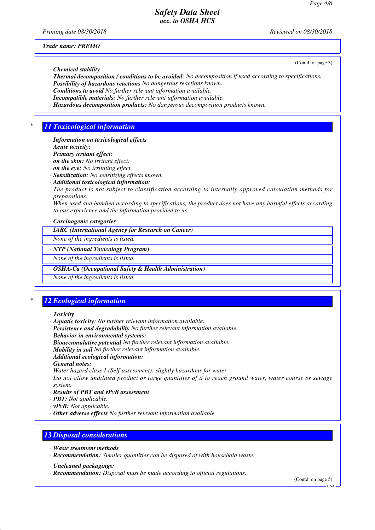*Printing date 08/30/2018 Reviewed on 08/30/2018*

(Contd. of page 3)

*Trade name: PREMO*

- *· Chemical stability*
- *· Thermal decomposition / conditions to be avoided: No decomposition if used according to specifications.*
- *· Possibility of hazardous reactions No dangerous reactions known.*
- *· Conditions to avoid No further relevant information available.*
- *· Incompatible materials: No further relevant information available.*
- *· Hazardous decomposition products: No dangerous decomposition products known.*

### *\* 11 Toxicological information*

- *· Information on toxicological effects*
- *· Acute toxicity:*
- *· Primary irritant effect:*
- *· on the skin: No irritant effect.*
- *· on the eye: No irritating effect.*
- *· Sensitization: No sensitizing effects known.*
- *· Additional toxicological information:*
- *The product is not subject to classification according to internally approved calculation methods for preparations:*

*When used and handled according to specifications, the product does not have any harmful effects according to our experience and the information provided to us.*

*· Carcinogenic categories*

*· IARC (International Agency for Research on Cancer)*

*None of the ingredients is listed.*

#### *· NTP (National Toxicology Program)*

*None of the ingredients is listed.*

*· OSHA-Ca (Occupational Safety & Health Administration)*

*None of the ingredients is listed.*

# *\* 12 Ecological information*

- *· Toxicity*
- *· Aquatic toxicity: No further relevant information available.*
- *· Persistence and degradability No further relevant information available.*
- *· Behavior in environmental systems:*
- *· Bioaccumulative potential No further relevant information available.*
- *· Mobility in soil No further relevant information available.*
- *· Additional ecological information:*
- *· General notes:*
- *Water hazard class 1 (Self-assessment): slightly hazardous for water*

*Do not allow undiluted product or large quantities of it to reach ground water, water course or sewage system.*

- *· Results of PBT and vPvB assessment*
- *· PBT: Not applicable.*
- *· vPvB: Not applicable.*
- *· Other adverse effects No further relevant information available.*

### *13 Disposal considerations*

- *· Waste treatment methods*
- *· Recommendation: Smaller quantities can be disposed of with household waste.*
- *· Uncleaned packagings:*
- *· Recommendation: Disposal must be made according to official regulations.*

(Contd. on page 5)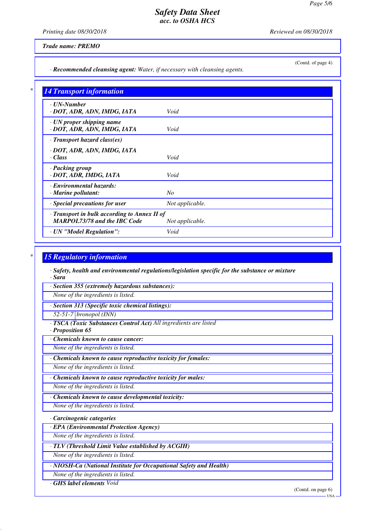*Printing date 08/30/2018 Reviewed on 08/30/2018*

(Contd. of page 4)

### *Trade name: PREMO*

*· Recommended cleansing agent: Water, if necessary with cleansing agents.*

| $\cdot$ UN-Number                            |                 |
|----------------------------------------------|-----------------|
| · DOT, ADR, ADN, IMDG, IATA                  | Void            |
| · UN proper shipping name                    |                 |
| · DOT, ADR, ADN, IMDG, IATA                  | Void            |
| $\cdot$ Transport hazard class(es)           |                 |
| · DOT, ADR, ADN, IMDG, IATA                  |                 |
| · Class                                      | Void            |
| · Packing group                              |                 |
| · DOT, ADR, IMDG, IATA                       | Void            |
| · Environmental hazards:                     |                 |
| · Marine pollutant:                          | No              |
| · Special precautions for user               | Not applicable. |
| · Transport in bulk according to Annex II of |                 |
| <b>MARPOL73/78 and the IBC Code</b>          | Not applicable. |
| · UN "Model Regulation":                     | Void            |

### *\* 15 Regulatory information*

*· Safety, health and environmental regulations/legislation specific for the substance or mixture · Sara*

*· Section 355 (extremely hazardous substances):*

*None of the ingredients is listed.*

*· Section 313 (Specific toxic chemical listings):*

*52-51-7 bronopol (INN)*

*· TSCA (Toxic Substances Control Act) All ingredients are listed*

*· Proposition 65*

*· Chemicals known to cause cancer:*

*None of the ingredients is listed.*

*· Chemicals known to cause reproductive toxicity for females:*

*None of the ingredients is listed.*

*· Chemicals known to cause reproductive toxicity for males:*

*None of the ingredients is listed.*

*· Chemicals known to cause developmental toxicity:*

*None of the ingredients is listed.*

*· Carcinogenic categories*

*· EPA (Environmental Protection Agency)*

*None of the ingredients is listed.*

*· TLV (Threshold Limit Value established by ACGIH)*

*None of the ingredients is listed.*

*· NIOSH-Ca (National Institute for Occupational Safety and Health)*

*None of the ingredients is listed.*

*· GHS label elements Void*

(Contd. on page 6)

 $-<sub>USA</sub>$